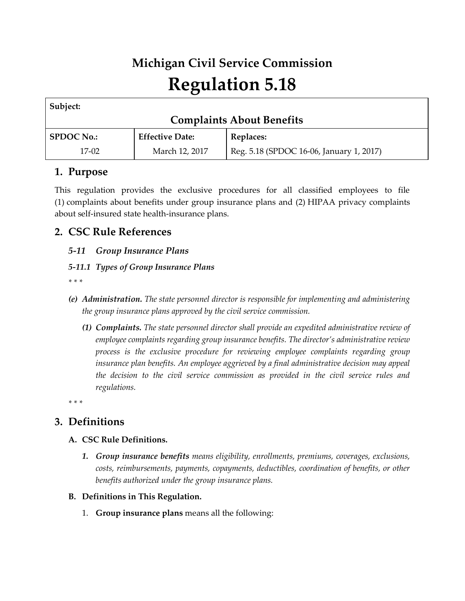# **Michigan Civil Service Commission Regulation 5.18**

| Subject:                         |                        |                                          |  |
|----------------------------------|------------------------|------------------------------------------|--|
| <b>Complaints About Benefits</b> |                        |                                          |  |
| <b>SPDOC No.:</b>                | <b>Effective Date:</b> | Replaces:                                |  |
| $17-02$                          | March 12, 2017         | Reg. 5.18 (SPDOC 16-06, January 1, 2017) |  |

## **1. Purpose**

This regulation provides the exclusive procedures for all classified employees to file (1) complaints about benefits under group insurance plans and (2) HIPAA privacy complaints about self-insured state health-insurance plans.

# **2. CSC Rule References**

## *5-11 Group Insurance Plans*

## *5-11.1 Types of Group Insurance Plans*

*\* \* \**

- *(e) Administration. The state personnel director is responsible for implementing and administering the group insurance plans approved by the civil service commission.*
	- *(1) Complaints. The state personnel director shall provide an expedited administrative review of employee complaints regarding group insurance benefits. The director's administrative review process is the exclusive procedure for reviewing employee complaints regarding group insurance plan benefits. An employee aggrieved by a final administrative decision may appeal the decision to the civil service commission as provided in the civil service rules and regulations.*

*\* \* \**

# **3. Definitions**

#### **A. CSC Rule Definitions.**

- *1. Group insurance benefits means eligibility, enrollments, premiums, coverages, exclusions, costs, reimbursements, payments, copayments, deductibles, coordination of benefits, or other benefits authorized under the group insurance plans.*
- **B. Definitions in This Regulation.**
	- 1. **Group insurance plans** means all the following: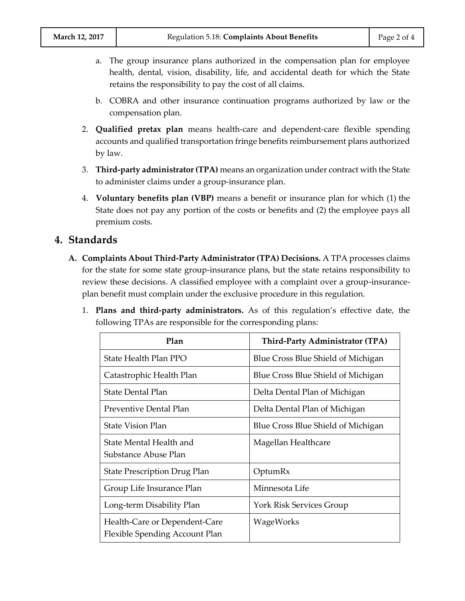- a. The group insurance plans authorized in the compensation plan for employee health, dental, vision, disability, life, and accidental death for which the State retains the responsibility to pay the cost of all claims.
- b. COBRA and other insurance continuation programs authorized by law or the compensation plan.
- 2. **Qualified pretax plan** means health-care and dependent-care flexible spending accounts and qualified transportation fringe benefits reimbursement plans authorized by law.
- 3. **Third-party administrator (TPA)** means an organization under contract with the State to administer claims under a group-insurance plan.
- 4. **Voluntary benefits plan (VBP)** means a benefit or insurance plan for which (1) the State does not pay any portion of the costs or benefits and (2) the employee pays all premium costs.

## **4. Standards**

- **A. Complaints About Third-Party Administrator (TPA) Decisions.** A TPA processes claims for the state for some state group-insurance plans, but the state retains responsibility to review these decisions. A classified employee with a complaint over a group-insuranceplan benefit must complain under the exclusive procedure in this regulation.
	- 1. **Plans and third-party administrators.** As of this regulation's effective date, the following TPAs are responsible for the corresponding plans:

| Plan                                                            | <b>Third-Party Administrator (TPA)</b> |
|-----------------------------------------------------------------|----------------------------------------|
| State Health Plan PPO                                           | Blue Cross Blue Shield of Michigan     |
| Catastrophic Health Plan                                        | Blue Cross Blue Shield of Michigan     |
| <b>State Dental Plan</b>                                        | Delta Dental Plan of Michigan          |
| Preventive Dental Plan                                          | Delta Dental Plan of Michigan          |
| <b>State Vision Plan</b>                                        | Blue Cross Blue Shield of Michigan     |
| State Mental Health and<br>Substance Abuse Plan                 | Magellan Healthcare                    |
| <b>State Prescription Drug Plan</b>                             | OptumRx                                |
| Group Life Insurance Plan                                       | Minnesota Life                         |
| Long-term Disability Plan                                       | York Risk Services Group               |
| Health-Care or Dependent-Care<br>Flexible Spending Account Plan | WageWorks                              |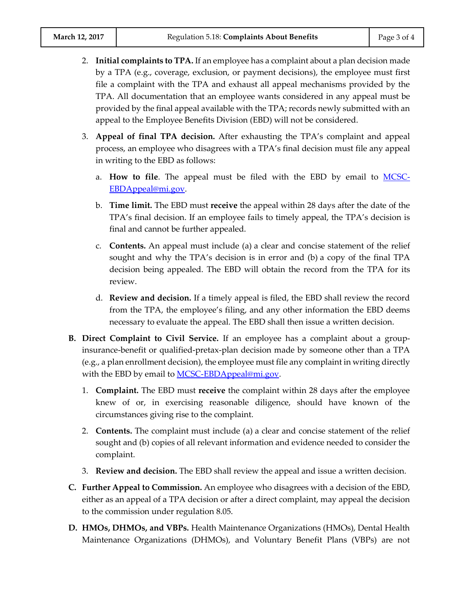- 2. **Initial complaints to TPA.** If an employee has a complaint about a plan decision made by a TPA (e.g., coverage, exclusion, or payment decisions), the employee must first file a complaint with the TPA and exhaust all appeal mechanisms provided by the TPA. All documentation that an employee wants considered in any appeal must be provided by the final appeal available with the TPA; records newly submitted with an appeal to the Employee Benefits Division (EBD) will not be considered.
- 3. **Appeal of final TPA decision.** After exhausting the TPA's complaint and appeal process, an employee who disagrees with a TPA's final decision must file any appeal in writing to the EBD as follows:
	- a. **How to file**. The appeal must be filed with the EBD by email to [MCSC-](mailto:MCSC-EBDAppeal@mi.gov)[EBDAppeal@mi.gov.](mailto:MCSC-EBDAppeal@mi.gov)
	- b. **Time limit.** The EBD must **receive** the appeal within 28 days after the date of the TPA's final decision. If an employee fails to timely appeal, the TPA's decision is final and cannot be further appealed.
	- c. **Contents.** An appeal must include (a) a clear and concise statement of the relief sought and why the TPA's decision is in error and (b) a copy of the final TPA decision being appealed. The EBD will obtain the record from the TPA for its review.
	- d. **Review and decision.** If a timely appeal is filed, the EBD shall review the record from the TPA, the employee's filing, and any other information the EBD deems necessary to evaluate the appeal. The EBD shall then issue a written decision.
- **B. Direct Complaint to Civil Service.** If an employee has a complaint about a groupinsurance-benefit or qualified-pretax-plan decision made by someone other than a TPA (e.g., a plan enrollment decision), the employee must file any complaint in writing directly with the EBD by email to  $MCSC-EBDAppend@mi.gov$ .
	- 1. **Complaint.** The EBD must **receive** the complaint within 28 days after the employee knew of or, in exercising reasonable diligence, should have known of the circumstances giving rise to the complaint.
	- 2. **Contents.** The complaint must include (a) a clear and concise statement of the relief sought and (b) copies of all relevant information and evidence needed to consider the complaint.
	- 3. **Review and decision.** The EBD shall review the appeal and issue a written decision.
- **C. Further Appeal to Commission.** An employee who disagrees with a decision of the EBD, either as an appeal of a TPA decision or after a direct complaint, may appeal the decision to the commission under regulation 8.05.
- **D. HMOs, DHMOs, and VBPs.** Health Maintenance Organizations (HMOs), Dental Health Maintenance Organizations (DHMOs), and Voluntary Benefit Plans (VBPs) are not